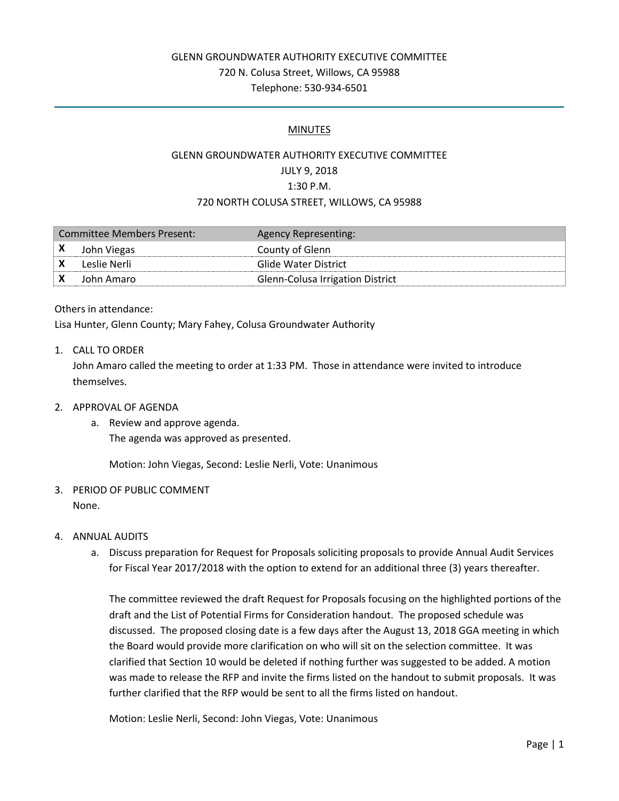## GLENN GROUNDWATER AUTHORITY EXECUTIVE COMMITTEE 720 N. Colusa Street, Willows, CA 95988 Telephone: 530-934-6501

### MINUTES

# GLENN GROUNDWATER AUTHORITY EXECUTIVE COMMITTEE JULY 9, 2018 1:30 P.M. 720 NORTH COLUSA STREET, WILLOWS, CA 95988

| Committee Members Present: |              | Agency Representing:             |
|----------------------------|--------------|----------------------------------|
|                            | John Viegas  | County of Glenn                  |
|                            | Leslie Nerli | Glide Water District             |
|                            | John Amaro   | Glenn-Colusa Irrigation District |

#### Others in attendance:

Lisa Hunter, Glenn County; Mary Fahey, Colusa Groundwater Authority

### 1. CALL TO ORDER

John Amaro called the meeting to order at 1:33 PM. Those in attendance were invited to introduce themselves.

### 2. APPROVAL OF AGENDA

a. Review and approve agenda.

The agenda was approved as presented.

Motion: John Viegas, Second: Leslie Nerli, Vote: Unanimous

### 3. PERIOD OF PUBLIC COMMENT None.

### 4. ANNUAL AUDITS

a. Discuss preparation for Request for Proposals soliciting proposals to provide Annual Audit Services for Fiscal Year 2017/2018 with the option to extend for an additional three (3) years thereafter.

The committee reviewed the draft Request for Proposals focusing on the highlighted portions of the draft and the List of Potential Firms for Consideration handout. The proposed schedule was discussed. The proposed closing date is a few days after the August 13, 2018 GGA meeting in which the Board would provide more clarification on who will sit on the selection committee. It was clarified that Section 10 would be deleted if nothing further was suggested to be added. A motion was made to release the RFP and invite the firms listed on the handout to submit proposals. It was further clarified that the RFP would be sent to all the firms listed on handout.

Motion: Leslie Nerli, Second: John Viegas, Vote: Unanimous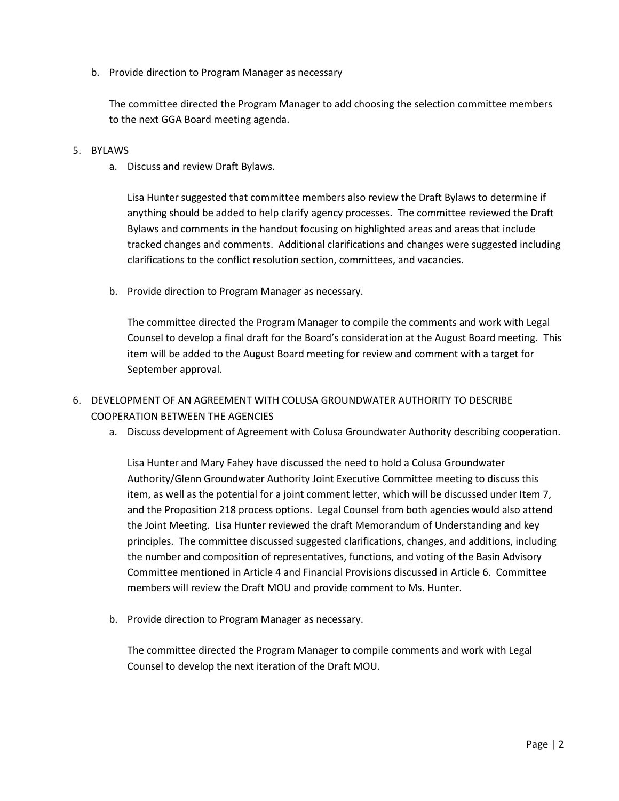b. Provide direction to Program Manager as necessary

The committee directed the Program Manager to add choosing the selection committee members to the next GGA Board meeting agenda.

- 5. BYLAWS
	- a. Discuss and review Draft Bylaws.

Lisa Hunter suggested that committee members also review the Draft Bylaws to determine if anything should be added to help clarify agency processes. The committee reviewed the Draft Bylaws and comments in the handout focusing on highlighted areas and areas that include tracked changes and comments. Additional clarifications and changes were suggested including clarifications to the conflict resolution section, committees, and vacancies.

b. Provide direction to Program Manager as necessary.

The committee directed the Program Manager to compile the comments and work with Legal Counsel to develop a final draft for the Board's consideration at the August Board meeting. This item will be added to the August Board meeting for review and comment with a target for September approval.

- 6. DEVELOPMENT OF AN AGREEMENT WITH COLUSA GROUNDWATER AUTHORITY TO DESCRIBE COOPERATION BETWEEN THE AGENCIES
	- a. Discuss development of Agreement with Colusa Groundwater Authority describing cooperation.

Lisa Hunter and Mary Fahey have discussed the need to hold a Colusa Groundwater Authority/Glenn Groundwater Authority Joint Executive Committee meeting to discuss this item, as well as the potential for a joint comment letter, which will be discussed under Item 7, and the Proposition 218 process options. Legal Counsel from both agencies would also attend the Joint Meeting. Lisa Hunter reviewed the draft Memorandum of Understanding and key principles. The committee discussed suggested clarifications, changes, and additions, including the number and composition of representatives, functions, and voting of the Basin Advisory Committee mentioned in Article 4 and Financial Provisions discussed in Article 6. Committee members will review the Draft MOU and provide comment to Ms. Hunter.

b. Provide direction to Program Manager as necessary.

The committee directed the Program Manager to compile comments and work with Legal Counsel to develop the next iteration of the Draft MOU.